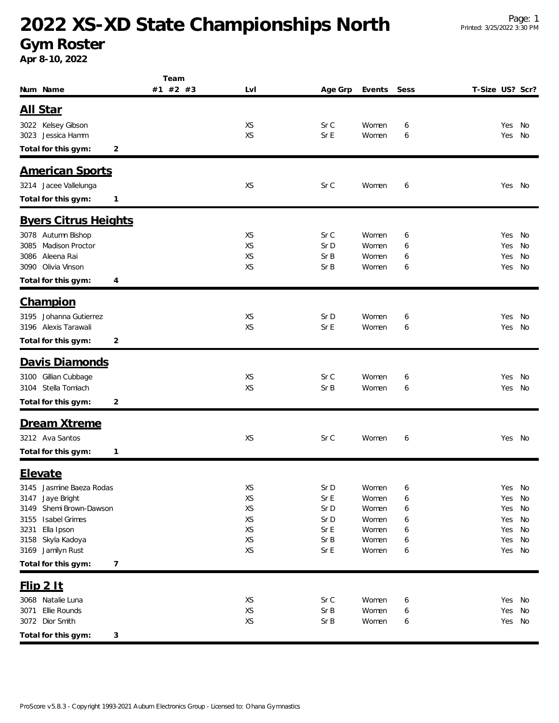## **2022 XS-XD State Championships North**

## **Gym Roster**

**Apr 8-10, 2022**

|                                                    | Team     |                 |              |                |        |                 |            |          |
|----------------------------------------------------|----------|-----------------|--------------|----------------|--------|-----------------|------------|----------|
| Num Name                                           | #1 #2 #3 | LvI             | Age Grp      | Events         | Sess   | T-Size US? Scr? |            |          |
| <u>All Star</u>                                    |          |                 |              |                |        |                 |            |          |
|                                                    |          |                 |              |                |        |                 |            |          |
| 3022 Kelsey Gibson<br>3023 Jessica Hamm            |          | XS<br><b>XS</b> | Sr C<br>Sr E | Women<br>Women | 6<br>6 |                 | Yes<br>Yes | No<br>No |
|                                                    |          |                 |              |                |        |                 |            |          |
| Total for this gym:<br>2                           |          |                 |              |                |        |                 |            |          |
| <b>American Sports</b>                             |          |                 |              |                |        |                 |            |          |
| 3214 Jacee Vallelunga                              |          | <b>XS</b>       | Sr C         | Women          | 6      |                 | Yes No     |          |
| Total for this gym:<br>1                           |          |                 |              |                |        |                 |            |          |
|                                                    |          |                 |              |                |        |                 |            |          |
| <b>Byers Citrus Heights</b>                        |          |                 |              |                |        |                 |            |          |
| 3078 Autumn Bishop                                 |          | XS              | Sr C         | Women          | 6      |                 | Yes        | No       |
| <b>Madison Proctor</b><br>3085                     |          | <b>XS</b>       | Sr D         | Women          | 6      |                 | Yes        | No       |
| Aleena Rai<br>3086                                 |          | XS              | Sr B         | Women          | 6      |                 | Yes        | No       |
| 3090 Olivia Vinson                                 |          | <b>XS</b>       | Sr B         | Women          | 6      |                 | Yes        | No       |
| Total for this gym:<br>4                           |          |                 |              |                |        |                 |            |          |
| <b>Champion</b>                                    |          |                 |              |                |        |                 |            |          |
|                                                    |          |                 |              |                |        |                 |            |          |
| 3195 Johanna Gutierrez<br>3196 Alexis Tarawali     |          | XS<br>XS        | Sr D<br>Sr E | Women<br>Women | 6<br>6 |                 | Yes<br>Yes | No<br>No |
|                                                    |          |                 |              |                |        |                 |            |          |
| Total for this gym:<br>2                           |          |                 |              |                |        |                 |            |          |
| Davis Diamonds                                     |          |                 |              |                |        |                 |            |          |
| 3100 Gillian Cubbage                               |          | XS              | Sr C         | Women          | 6      |                 | Yes        | No       |
| 3104 Stella Tomiach                                |          | <b>XS</b>       | Sr B         | Women          | 6      |                 | Yes        | No       |
| Total for this gym:<br>2                           |          |                 |              |                |        |                 |            |          |
|                                                    |          |                 |              |                |        |                 |            |          |
| Dream Xtreme                                       |          |                 |              |                |        |                 |            |          |
| 3212 Ava Santos                                    |          | XS              | Sr C         | Women          | 6      |                 | Yes No     |          |
| Total for this gym:<br>$\mathbf{1}$                |          |                 |              |                |        |                 |            |          |
| Elevate                                            |          |                 |              |                |        |                 |            |          |
|                                                    |          |                 |              |                |        |                 |            |          |
| 3145<br>Jasmine Baeza Rodas<br>3147<br>Jaye Bright |          | XS<br>XS        | Sr D<br>Sr E | Women<br>Women | 6<br>6 |                 | Yes<br>Yes | No<br>No |
| Shemi Brown-Dawson<br>3149                         |          | XS              | Sr D         | Women          | 6      |                 | Yes        | No       |
| Isabel Grimes<br>3155                              |          | XS              | Sr D         | Women          | 6      |                 | Yes        | No       |
| 3231<br>Ella Ipson                                 |          | XS              | Sr E         | Women          | 6      |                 | Yes        | No       |
| Skyla Kadoya<br>3158                               |          | XS              | Sr B         | Women          | 6      |                 | Yes        | No       |
| 3169 Jamilyn Rust                                  |          | XS              | Sr E         | Women          | 6      |                 | Yes No     |          |
| Total for this gym:<br>$\overline{7}$              |          |                 |              |                |        |                 |            |          |
|                                                    |          |                 |              |                |        |                 |            |          |
| $Flip$ 2 It                                        |          |                 |              |                |        |                 |            |          |
| 3068 Natalie Luna                                  |          | XS              | Sr C         | Women          | 6      |                 | Yes        | No       |
| Ellie Rounds<br>3071                               |          | XS              | Sr B         | Women          | 6      |                 | Yes        | No       |
| 3072 Dior Smith                                    |          | XS              | Sr B         | Women          | 6      |                 | Yes No     |          |
| Total for this gym:<br>3                           |          |                 |              |                |        |                 |            |          |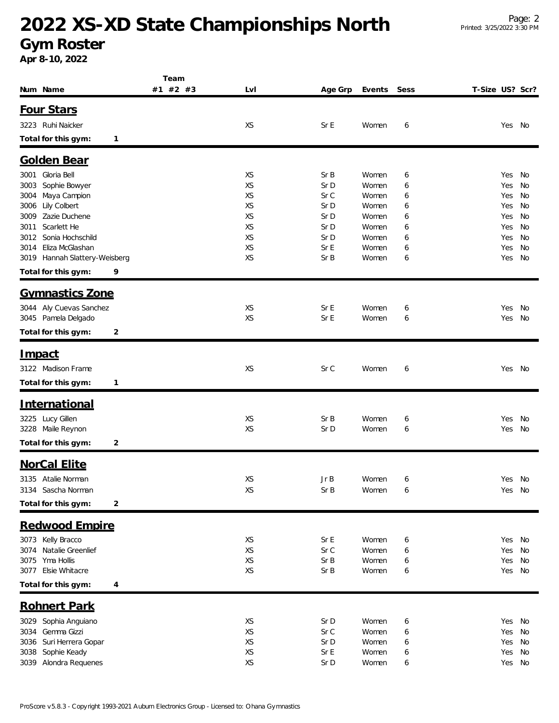## **2022 XS-XD State Championships North**

**Gym Roster Apr 8-10, 2022**

|                                                          | Team     |          |              |                |        |                 |          |
|----------------------------------------------------------|----------|----------|--------------|----------------|--------|-----------------|----------|
| Num Name                                                 | #1 #2 #3 | LvI      | Age Grp      | Events         | Sess   | T-Size US? Scr? |          |
| Four Stars                                               |          |          |              |                |        |                 |          |
| 3223 Ruhi Naicker                                        |          | XS       | Sr E         | Women          | 6      | Yes             | No       |
|                                                          |          |          |              |                |        |                 |          |
| Total for this gym:<br>1                                 |          |          |              |                |        |                 |          |
| <b>Golden Bear</b>                                       |          |          |              |                |        |                 |          |
| Gloria Bell<br>3001                                      |          | XS       | Sr B         | Women          | 6      | Yes             | No       |
| Sophie Bowyer<br>3003                                    |          | XS       | Sr D         | Women          | 6      | Yes             | No       |
| Maya Campion<br>3004                                     |          | XS       | Sr C         | Women          | 6      | Yes             | No       |
| Lily Colbert<br>3006                                     |          | XS       | Sr D         | Women          | 6      | Yes             | No       |
| Zazie Duchene<br>3009                                    |          | XS       | Sr D         | Women          | 6      | Yes             | No       |
| Scarlett He<br>3011                                      |          | XS       | Sr D         | Women          | 6      | Yes             | No       |
| Sonia Hochschild<br>3012                                 |          | XS       | Sr D         | Women          | 6      | Yes             | No       |
| Eliza McGlashan<br>3014<br>3019 Hannah Slattery-Weisberg |          | XS<br>XS | Sr E<br>Sr B | Women<br>Women | 6      | Yes<br>Yes      | No<br>No |
| 9                                                        |          |          |              |                | 6      |                 |          |
| Total for this gym:                                      |          |          |              |                |        |                 |          |
| <b>Gymnastics Zone</b>                                   |          |          |              |                |        |                 |          |
| Aly Cuevas Sanchez<br>3044                               |          | XS       | Sr E         | Women          | 6      | Yes             | No       |
| 3045 Pamela Delgado                                      |          | XS       | Sr E         | Women          | 6      | Yes             | No       |
| 2<br>Total for this gym:                                 |          |          |              |                |        |                 |          |
|                                                          |          |          |              |                |        |                 |          |
| <u>Impact</u>                                            |          |          |              |                |        |                 |          |
| 3122 Madison Frame                                       |          | XS       | Sr C         | Women          | 6      |                 | Yes No   |
| Total for this gym:<br>$\mathbf{1}$                      |          |          |              |                |        |                 |          |
| <u>International</u>                                     |          |          |              |                |        |                 |          |
| 3225 Lucy Gillen                                         |          | XS       | Sr B         | Women          | 6      | Yes             | No       |
| 3228 Maile Reynon                                        |          | XS       | Sr D         | Women          | 6      | Yes             | No       |
| Total for this gym:                                      |          |          |              |                |        |                 |          |
| 2                                                        |          |          |              |                |        |                 |          |
| <b>NorCal Elite</b>                                      |          |          |              |                |        |                 |          |
| 3135 Atalie Norman                                       |          | XS       | Jr B         | Women          | 6      |                 | Yes No   |
| 3134 Sascha Norman                                       |          | XS       | Sr B         | Women          | 6      |                 | Yes No   |
| Total for this gym:<br>$\overline{\mathbf{c}}$           |          |          |              |                |        |                 |          |
| Redwood Empire                                           |          |          |              |                |        |                 |          |
|                                                          |          |          |              |                |        |                 |          |
| 3073 Kelly Bracco<br>Natalie Greenlief<br>3074           |          | XS<br>XS | Sr E<br>Sr C | Women<br>Women | 6      | Yes<br>Yes      | No<br>No |
| Yma Hollis<br>3075                                       |          | XS       | Sr B         | Women          | 6<br>6 | Yes             | No       |
| 3077 Elsie Whitacre                                      |          | XS       | Sr B         | Women          | 6      | Yes             | No       |
| Total for this gym:<br>4                                 |          |          |              |                |        |                 |          |
|                                                          |          |          |              |                |        |                 |          |
| <b>Rohnert Park</b>                                      |          |          |              |                |        |                 |          |
| Sophia Anguiano<br>3029                                  |          | XS       | Sr D         | Women          | 6      | Yes             | No       |
| Gemma Gizzi<br>3034                                      |          | XS       | Sr C         | Women          | 6      | Yes             | No       |
| Suri Herrera Gopar<br>3036                               |          | XS       | Sr D         | Women          | 6      | Yes             | No       |
| Sophie Keady<br>3038<br>3039 Alondra Requenes            |          | XS<br>XS | Sr E<br>Sr D | Women<br>Women | 6      | Yes<br>Yes      | No<br>No |
|                                                          |          |          |              |                | 6      |                 |          |